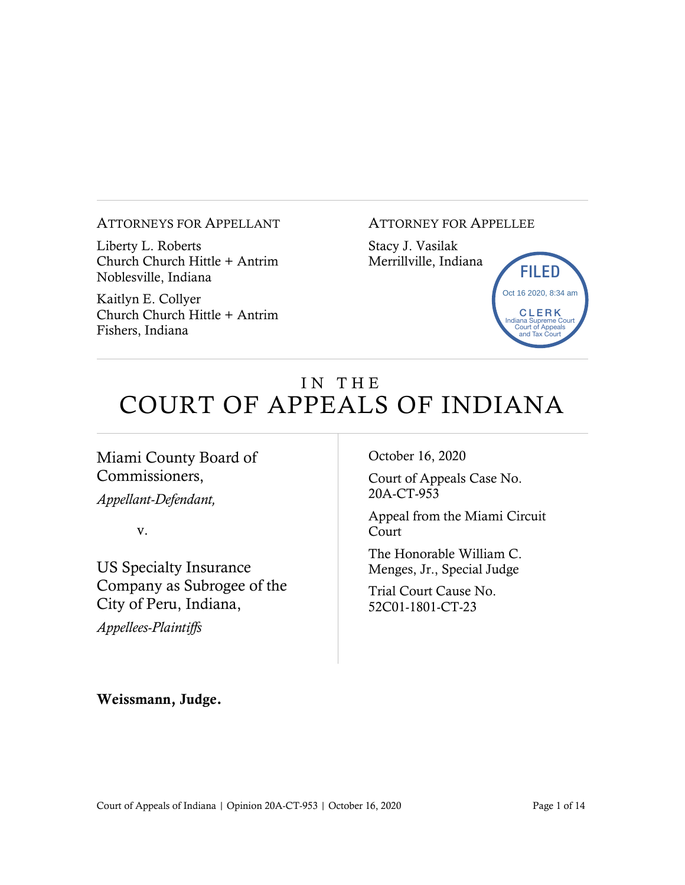#### ATTORNEYS FOR APPELLANT

Liberty L. Roberts Church Church Hittle + Antrim Noblesville, Indiana

Kaitlyn E. Collyer Church Church Hittle + Antrim Fishers, Indiana

#### ATTORNEY FOR APPELLEE

Stacy J. Vasilak Merrillville, Indiana



# IN THE COURT OF APPEALS OF INDIANA

#### Miami County Board of Commissioners,

*Appellant-Defendant,*

v.

US Specialty Insurance Company as Subrogee of the City of Peru, Indiana,

*Appellees-Plaintiffs*

October 16, 2020

Court of Appeals Case No. 20A-CT-953

Appeal from the Miami Circuit Court

The Honorable William C. Menges, Jr., Special Judge

Trial Court Cause No. 52C01-1801-CT-23

Weissmann, Judge.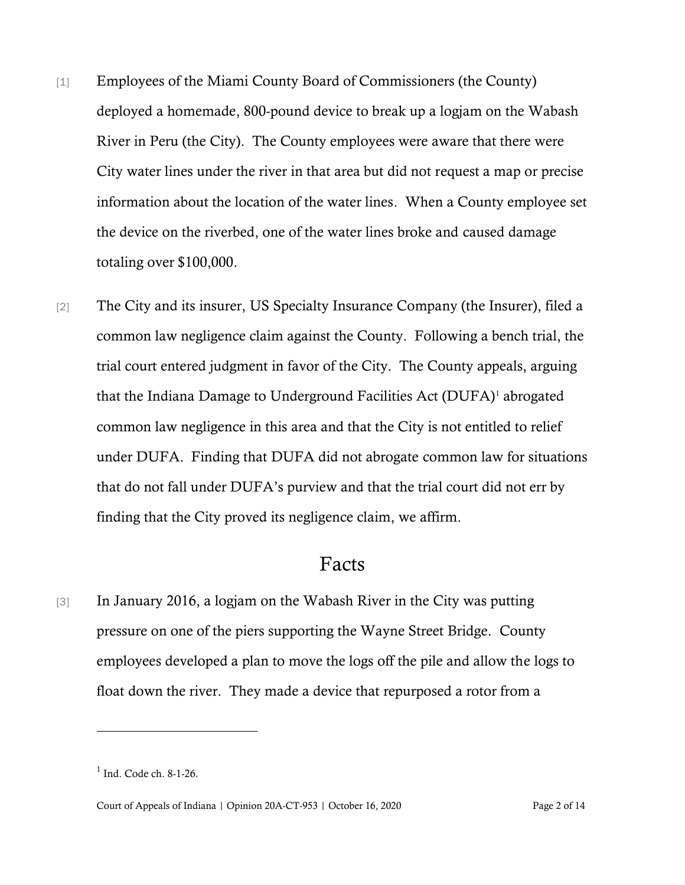- [1] Employees of the Miami County Board of Commissioners (the County) deployed a homemade, 800-pound device to break up a logjam on the Wabash River in Peru (the City). The County employees were aware that there were City water lines under the river in that area but did not request a map or precise information about the location of the water lines. When a County employee set the device on the riverbed, one of the water lines broke and caused damage totaling over \$100,000.
- [2] The City and its insurer, US Specialty Insurance Company (the Insurer), filed a common law negligence claim against the County. Following a bench trial, the trial court entered judgment in favor of the City. The County appeals, arguing that the Indiana Damage to Underground Facilities Act (DUFA)<sup>1</sup> abrogated common law negligence in this area and that the City is not entitled to relief under DUFA. Finding that DUFA did not abrogate common law for situations that do not fall under DUFA's purview and that the trial court did not err by finding that the City proved its negligence claim, we affirm.

### Facts

[3] In January 2016, a logjam on the Wabash River in the City was putting pressure on one of the piers supporting the Wayne Street Bridge. County employees developed a plan to move the logs off the pile and allow the logs to float down the river. They made a device that repurposed a rotor from a

<sup>&</sup>lt;sup>1</sup> Ind. Code ch. 8-1-26.

Court of Appeals of Indiana | Opinion 20A-CT-953 | October 16, 2020 Page 2 of 14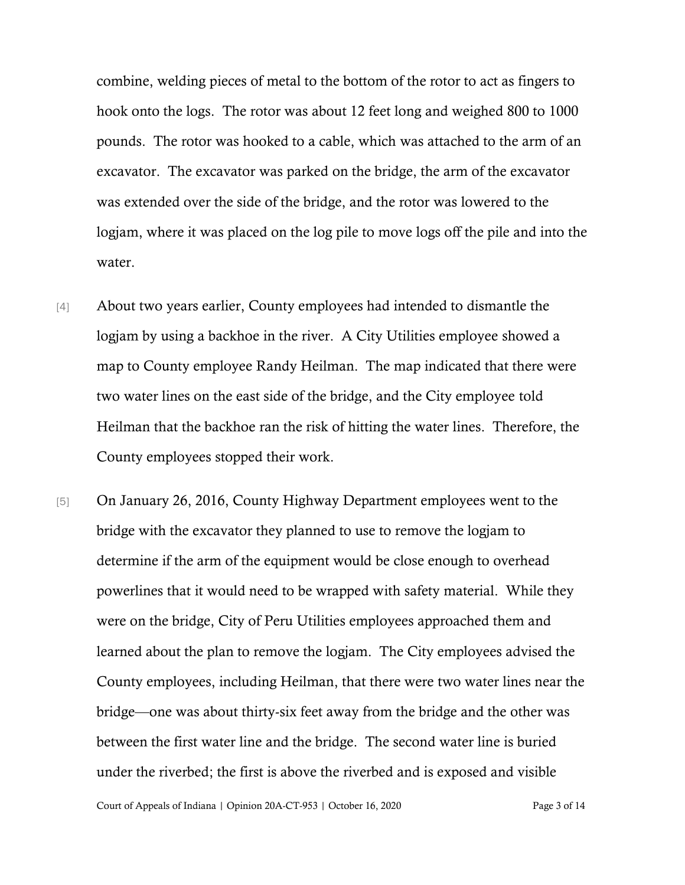combine, welding pieces of metal to the bottom of the rotor to act as fingers to hook onto the logs. The rotor was about 12 feet long and weighed 800 to 1000 pounds. The rotor was hooked to a cable, which was attached to the arm of an excavator. The excavator was parked on the bridge, the arm of the excavator was extended over the side of the bridge, and the rotor was lowered to the logjam, where it was placed on the log pile to move logs off the pile and into the water.

- [4] About two years earlier, County employees had intended to dismantle the logjam by using a backhoe in the river. A City Utilities employee showed a map to County employee Randy Heilman. The map indicated that there were two water lines on the east side of the bridge, and the City employee told Heilman that the backhoe ran the risk of hitting the water lines. Therefore, the County employees stopped their work.
- [5] On January 26, 2016, County Highway Department employees went to the bridge with the excavator they planned to use to remove the logjam to determine if the arm of the equipment would be close enough to overhead powerlines that it would need to be wrapped with safety material. While they were on the bridge, City of Peru Utilities employees approached them and learned about the plan to remove the logjam. The City employees advised the County employees, including Heilman, that there were two water lines near the bridge—one was about thirty-six feet away from the bridge and the other was between the first water line and the bridge. The second water line is buried under the riverbed; the first is above the riverbed and is exposed and visible

Court of Appeals of Indiana | Opinion 20A-CT-953 | October 16, 2020 Page 3 of 14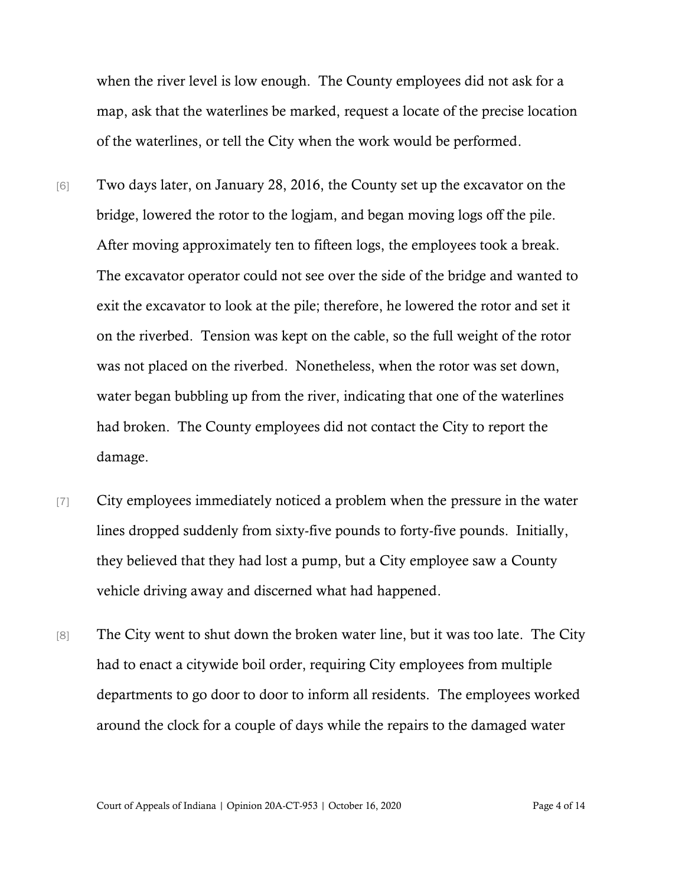when the river level is low enough. The County employees did not ask for a map, ask that the waterlines be marked, request a locate of the precise location of the waterlines, or tell the City when the work would be performed.

- [6] Two days later, on January 28, 2016, the County set up the excavator on the bridge, lowered the rotor to the logjam, and began moving logs off the pile. After moving approximately ten to fifteen logs, the employees took a break. The excavator operator could not see over the side of the bridge and wanted to exit the excavator to look at the pile; therefore, he lowered the rotor and set it on the riverbed. Tension was kept on the cable, so the full weight of the rotor was not placed on the riverbed. Nonetheless, when the rotor was set down, water began bubbling up from the river, indicating that one of the waterlines had broken. The County employees did not contact the City to report the damage.
- [7] City employees immediately noticed a problem when the pressure in the water lines dropped suddenly from sixty-five pounds to forty-five pounds. Initially, they believed that they had lost a pump, but a City employee saw a County vehicle driving away and discerned what had happened.
- [8] The City went to shut down the broken water line, but it was too late. The City had to enact a citywide boil order, requiring City employees from multiple departments to go door to door to inform all residents. The employees worked around the clock for a couple of days while the repairs to the damaged water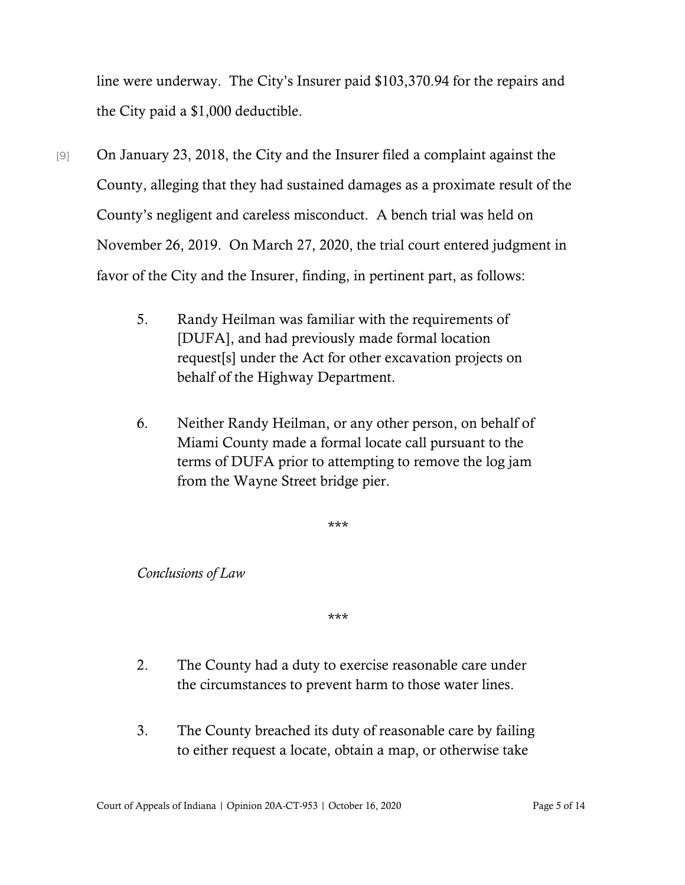line were underway. The City's Insurer paid \$103,370.94 for the repairs and the City paid a \$1,000 deductible.

- [9] On January 23, 2018, the City and the Insurer filed a complaint against the County, alleging that they had sustained damages as a proximate result of the County's negligent and careless misconduct. A bench trial was held on November 26, 2019. On March 27, 2020, the trial court entered judgment in favor of the City and the Insurer, finding, in pertinent part, as follows:
	- 5. Randy Heilman was familiar with the requirements of [DUFA], and had previously made formal location request[s] under the Act for other excavation projects on behalf of the Highway Department.
	- 6. Neither Randy Heilman, or any other person, on behalf of Miami County made a formal locate call pursuant to the terms of DUFA prior to attempting to remove the log jam from the Wayne Street bridge pier.

\*\*\*

*Conclusions of Law*

\*\*\*

- 2. The County had a duty to exercise reasonable care under the circumstances to prevent harm to those water lines.
- 3. The County breached its duty of reasonable care by failing to either request a locate, obtain a map, or otherwise take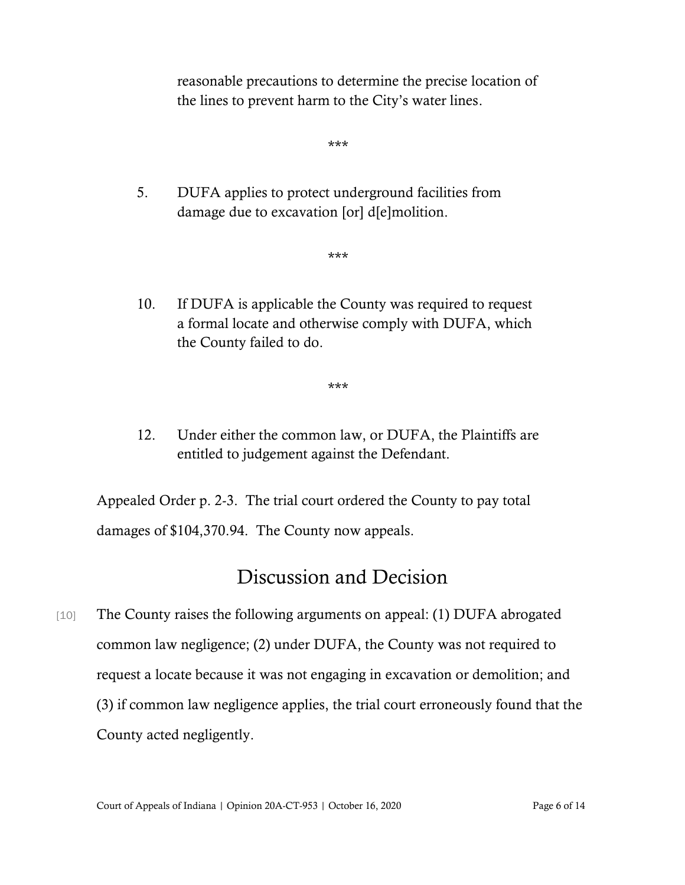reasonable precautions to determine the precise location of the lines to prevent harm to the City's water lines.

\*\*\*

5. DUFA applies to protect underground facilities from damage due to excavation [or] d[e]molition.

\*\*\*

10. If DUFA is applicable the County was required to request a formal locate and otherwise comply with DUFA, which the County failed to do.

\*\*\*

12. Under either the common law, or DUFA, the Plaintiffs are entitled to judgement against the Defendant.

Appealed Order p. 2-3. The trial court ordered the County to pay total damages of \$104,370.94. The County now appeals.

### Discussion and Decision

[10] The County raises the following arguments on appeal: (1) DUFA abrogated common law negligence; (2) under DUFA, the County was not required to request a locate because it was not engaging in excavation or demolition; and (3) if common law negligence applies, the trial court erroneously found that the County acted negligently.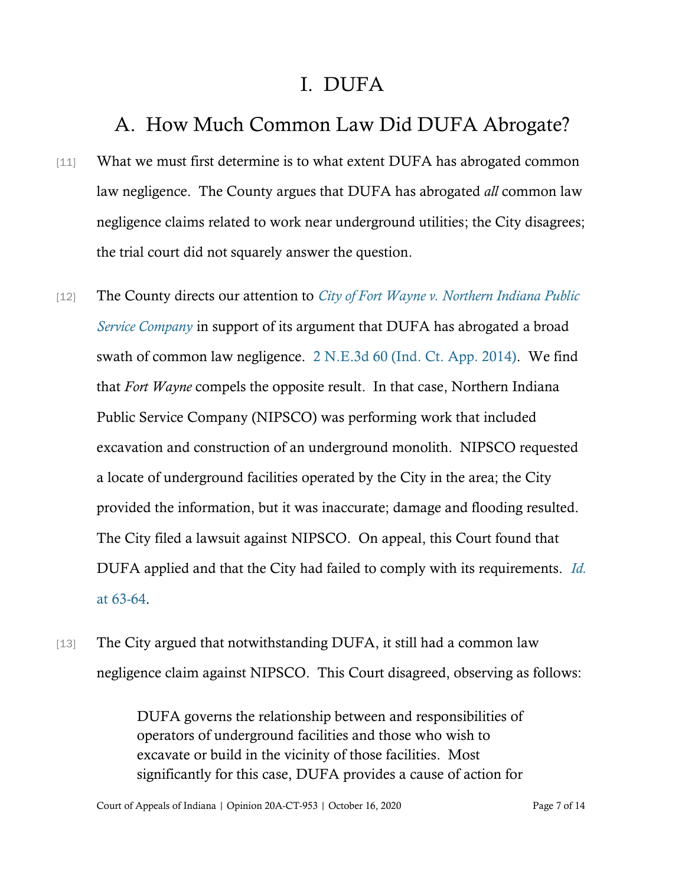### I. DUFA

# A. How Much Common Law Did DUFA Abrogate?

- [11] What we must first determine is to what extent DUFA has abrogated common law negligence. The County argues that DUFA has abrogated *all* common law negligence claims related to work near underground utilities; the City disagrees; the trial court did not squarely answer the question.
- [12] The County directs our attention to *[City of Fort Wayne v. Northern Indiana Public](https://www.westlaw.com/Document/I9ed1182c7ddb11e3a659df62eba144e8/View/FullText.html?transitionType=Default&contextData=(sc.Default)&VR=3.0&RS=da3.0)  [Service Company](https://www.westlaw.com/Document/I9ed1182c7ddb11e3a659df62eba144e8/View/FullText.html?transitionType=Default&contextData=(sc.Default)&VR=3.0&RS=da3.0)* in support of its argument that DUFA has abrogated a broad swath of common law negligence. [2 N.E.3d 60 \(Ind. Ct. App. 2014\).](https://www.westlaw.com/Document/I9ed1182c7ddb11e3a659df62eba144e8/View/FullText.html?transitionType=Default&contextData=(sc.Default)&VR=3.0&RS=da3.0) We find that *Fort Wayne* compels the opposite result. In that case, Northern Indiana Public Service Company (NIPSCO) was performing work that included excavation and construction of an underground monolith. NIPSCO requested a locate of underground facilities operated by the City in the area; the City provided the information, but it was inaccurate; damage and flooding resulted. The City filed a lawsuit against NIPSCO. On appeal, this Court found that DUFA applied and that the City had failed to comply with its requirements. *[Id.](https://www.westlaw.com/Document/I9ed1182c7ddb11e3a659df62eba144e8/View/FullText.html?transitionType=Default&contextData=(sc.Default)&VR=3.0&RS=da3.0&fragmentIdentifier=co_pp_sp_7902_63)* [at 63-64.](https://www.westlaw.com/Document/I9ed1182c7ddb11e3a659df62eba144e8/View/FullText.html?transitionType=Default&contextData=(sc.Default)&VR=3.0&RS=da3.0&fragmentIdentifier=co_pp_sp_7902_63)
- [13] The City argued that notwithstanding DUFA, it still had a common law negligence claim against NIPSCO. This Court disagreed, observing as follows:

DUFA governs the relationship between and responsibilities of operators of underground facilities and those who wish to excavate or build in the vicinity of those facilities. Most significantly for this case, DUFA provides a cause of action for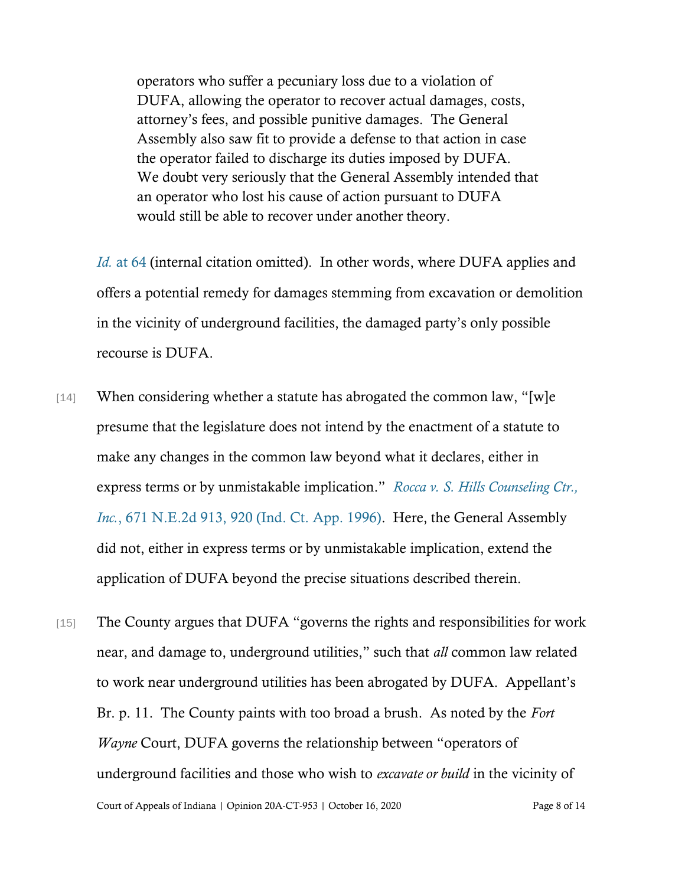operators who suffer a pecuniary loss due to a violation of DUFA, allowing the operator to recover actual damages, costs, attorney's fees, and possible punitive damages. The General Assembly also saw fit to provide a defense to that action in case the operator failed to discharge its duties imposed by DUFA. We doubt very seriously that the General Assembly intended that an operator who lost his cause of action pursuant to DUFA would still be able to recover under another theory.

*Id.* [at 64](https://www.westlaw.com/Document/I9ed1182c7ddb11e3a659df62eba144e8/View/FullText.html?transitionType=Default&contextData=(sc.Default)&VR=3.0&RS=da3.0&fragmentIdentifier=co_pp_sp_7902_64) (internal citation omitted). In other words, where DUFA applies and offers a potential remedy for damages stemming from excavation or demolition in the vicinity of underground facilities, the damaged party's only possible recourse is DUFA.

- [14] When considering whether a statute has abrogated the common law, "[w]e presume that the legislature does not intend by the enactment of a statute to make any changes in the common law beyond what it declares, either in express terms or by unmistakable implication." *[Rocca v. S. Hills Counseling Ctr.,](https://www.westlaw.com/Document/I66b245a6d3de11d99439b076ef9ec4de/View/FullText.html?transitionType=Default&contextData=(sc.Default)&VR=3.0&RS=da3.0&fragmentIdentifier=co_pp_sp_578_920)  Inc.*[, 671 N.E.2d 913, 920 \(Ind. Ct. App. 1996\).](https://www.westlaw.com/Document/I66b245a6d3de11d99439b076ef9ec4de/View/FullText.html?transitionType=Default&contextData=(sc.Default)&VR=3.0&RS=da3.0&fragmentIdentifier=co_pp_sp_578_920) Here, the General Assembly did not, either in express terms or by unmistakable implication, extend the application of DUFA beyond the precise situations described therein.
- Court of Appeals of Indiana | Opinion 20A-CT-953 | October 16, 2020 Page 8 of 14 [15] The County argues that DUFA "governs the rights and responsibilities for work near, and damage to, underground utilities," such that *all* common law related to work near underground utilities has been abrogated by DUFA. Appellant's Br. p. 11. The County paints with too broad a brush. As noted by the *Fort Wayne* Court, DUFA governs the relationship between "operators of underground facilities and those who wish to *excavate or build* in the vicinity of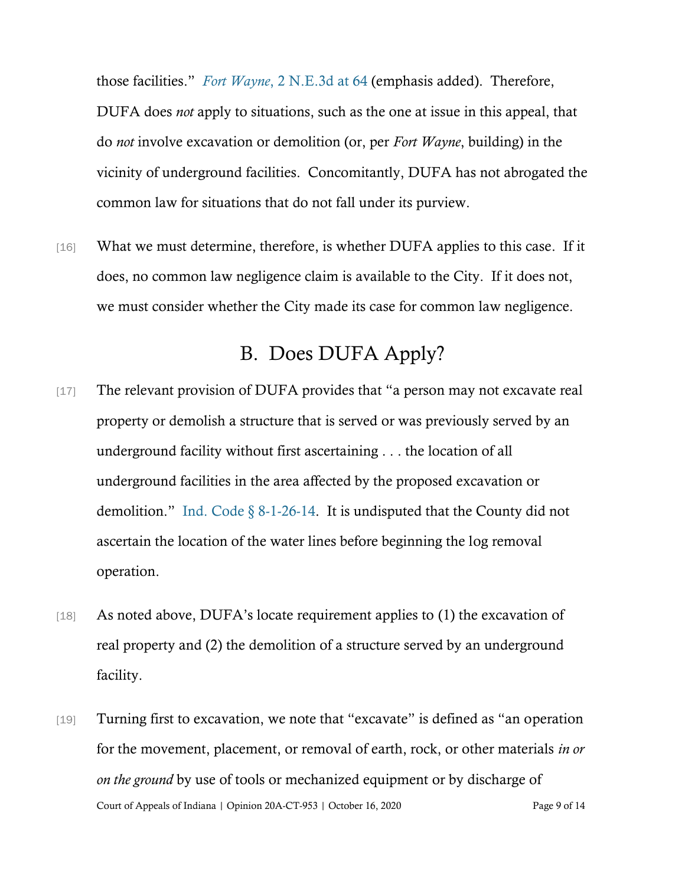those facilities." *Fort Wayne*[, 2 N.E.3d at 64](https://www.westlaw.com/Document/I9ed1182c7ddb11e3a659df62eba144e8/View/FullText.html?transitionType=Default&contextData=(sc.Default)&VR=3.0&RS=da3.0&fragmentIdentifier=co_pp_sp_7902_64) (emphasis added). Therefore, DUFA does *not* apply to situations, such as the one at issue in this appeal, that do *not* involve excavation or demolition (or, per *Fort Wayne*, building) in the vicinity of underground facilities. Concomitantly, DUFA has not abrogated the common law for situations that do not fall under its purview.

[16] What we must determine, therefore, is whether DUFA applies to this case. If it does, no common law negligence claim is available to the City. If it does not, we must consider whether the City made its case for common law negligence.

# B. Does DUFA Apply?

- [17] The relevant provision of DUFA provides that "a person may not excavate real property or demolish a structure that is served or was previously served by an underground facility without first ascertaining . . . the location of all underground facilities in the area affected by the proposed excavation or demolition." [Ind. Code § 8-1-26-14.](https://www.westlaw.com/Document/N3BC82EE080C111DB8132CD13D2280436/View/FullText.html?transitionType=Default&contextData=(sc.Default)&VR=3.0&RS=da3.0) It is undisputed that the County did not ascertain the location of the water lines before beginning the log removal operation.
- [18] As noted above, DUFA's locate requirement applies to (1) the excavation of real property and (2) the demolition of a structure served by an underground facility.
- Court of Appeals of Indiana | Opinion 20A-CT-953 | October 16, 2020 Page 9 of 14 [19] Turning first to excavation, we note that "excavate" is defined as "an operation for the movement, placement, or removal of earth, rock, or other materials *in or on the ground* by use of tools or mechanized equipment or by discharge of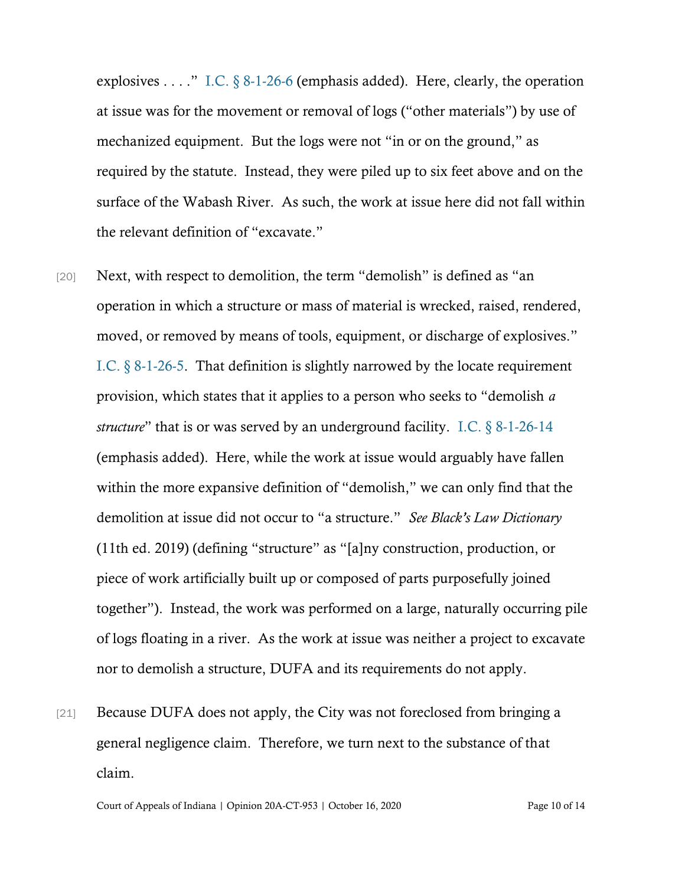explosives . . . ." I.C.  $\S$  8-1-26-6 (emphasis added). Here, clearly, the operation at issue was for the movement or removal of logs ("other materials") by use of mechanized equipment. But the logs were not "in or on the ground," as required by the statute. Instead, they were piled up to six feet above and on the surface of the Wabash River. As such, the work at issue here did not fall within the relevant definition of "excavate."

- [20] Next, with respect to demolition, the term "demolish" is defined as "an operation in which a structure or mass of material is wrecked, raised, rendered, moved, or removed by means of tools, equipment, or discharge of explosives." [I.C. § 8-1-26-5.](https://www.westlaw.com/Document/N368F354080C111DB8132CD13D2280436/View/FullText.html?transitionType=Default&contextData=(sc.Default)&VR=3.0&RS=da3.0) That definition is slightly narrowed by the locate requirement provision, which states that it applies to a person who seeks to "demolish *a structure*" that is or was served by an underground facility. [I.C. § 8-1-26-14](https://www.westlaw.com/Document/N3BC82EE080C111DB8132CD13D2280436/View/FullText.html?transitionType=Default&contextData=(sc.Default)&VR=3.0&RS=da3.0) (emphasis added). Here, while the work at issue would arguably have fallen within the more expansive definition of "demolish," we can only find that the demolition at issue did not occur to "a structure." *See Black's Law Dictionary* (11th ed. 2019) (defining "structure" as "[a]ny construction, production, or piece of work artificially built up or composed of parts purposefully joined together"). Instead, the work was performed on a large, naturally occurring pile of logs floating in a river. As the work at issue was neither a project to excavate nor to demolish a structure, DUFA and its requirements do not apply.
- [21] Because DUFA does not apply, the City was not foreclosed from bringing a general negligence claim. Therefore, we turn next to the substance of that claim.

Court of Appeals of Indiana | Opinion 20A-CT-953 | October 16, 2020 Page 10 of 14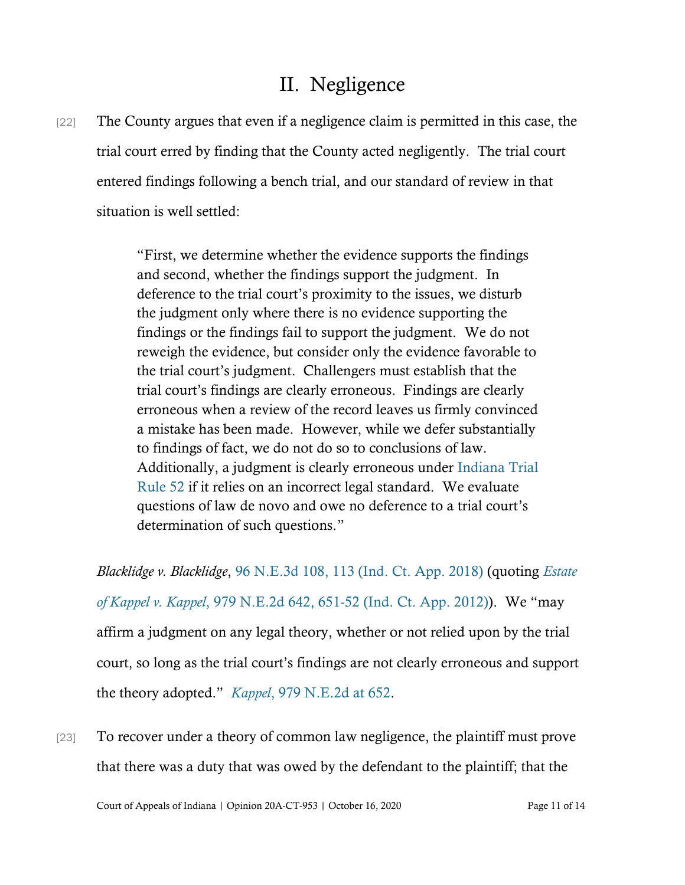## II. Negligence

[22] The County argues that even if a negligence claim is permitted in this case, the trial court erred by finding that the County acted negligently. The trial court entered findings following a bench trial, and our standard of review in that situation is well settled:

> "First, we determine whether the evidence supports the findings and second, whether the findings support the judgment. In deference to the trial court's proximity to the issues, we disturb the judgment only where there is no evidence supporting the findings or the findings fail to support the judgment. We do not reweigh the evidence, but consider only the evidence favorable to the trial court's judgment. Challengers must establish that the trial court's findings are clearly erroneous. Findings are clearly erroneous when a review of the record leaves us firmly convinced a mistake has been made. However, while we defer substantially to findings of fact, we do not do so to conclusions of law. Additionally, a judgment is clearly erroneous under [Indiana Trial](https://www.westlaw.com/Document/N61A7F8C0817011DB8132CD13D2280436/View/FullText.html?transitionType=Default&contextData=(sc.Default)&VR=3.0&RS=da3.0)  [Rule 52](https://www.westlaw.com/Document/N61A7F8C0817011DB8132CD13D2280436/View/FullText.html?transitionType=Default&contextData=(sc.Default)&VR=3.0&RS=da3.0) if it relies on an incorrect legal standard. We evaluate questions of law de novo and owe no deference to a trial court's determination of such questions."

*Blacklidge v. Blacklidge*, [96 N.E.3d 108, 113 \(Ind. Ct. App. 2018\)](https://www.westlaw.com/Document/Ie9ce9ccad93b11d9a489ee624f1f6e1a/View/FullText.html?transitionType=Default&contextData=(sc.Default)&VR=3.0&RS=da3.0) (quoting *[Estate](https://www.westlaw.com/Document/Id1854c9f22c211e28757b822cf994add/View/FullText.html?transitionType=Default&contextData=(sc.Default)&VR=3.0&RS=da3.0&fragmentIdentifier=co_pp_sp_578_651)  of Kappel v. Kappel*[, 979 N.E.2d 642, 651-52 \(Ind. Ct. App. 2012\)\)](https://www.westlaw.com/Document/Id1854c9f22c211e28757b822cf994add/View/FullText.html?transitionType=Default&contextData=(sc.Default)&VR=3.0&RS=da3.0&fragmentIdentifier=co_pp_sp_578_651). We "may affirm a judgment on any legal theory, whether or not relied upon by the trial court, so long as the trial court's findings are not clearly erroneous and support the theory adopted." *Kappel*[, 979 N.E.2d at 652.](https://www.westlaw.com/Document/Id1854c9f22c211e28757b822cf994add/View/FullText.html?transitionType=Default&contextData=(sc.Default)&VR=3.0&RS=da3.0&fragmentIdentifier=co_pp_sp_578_652)

[23] To recover under a theory of common law negligence, the plaintiff must prove that there was a duty that was owed by the defendant to the plaintiff; that the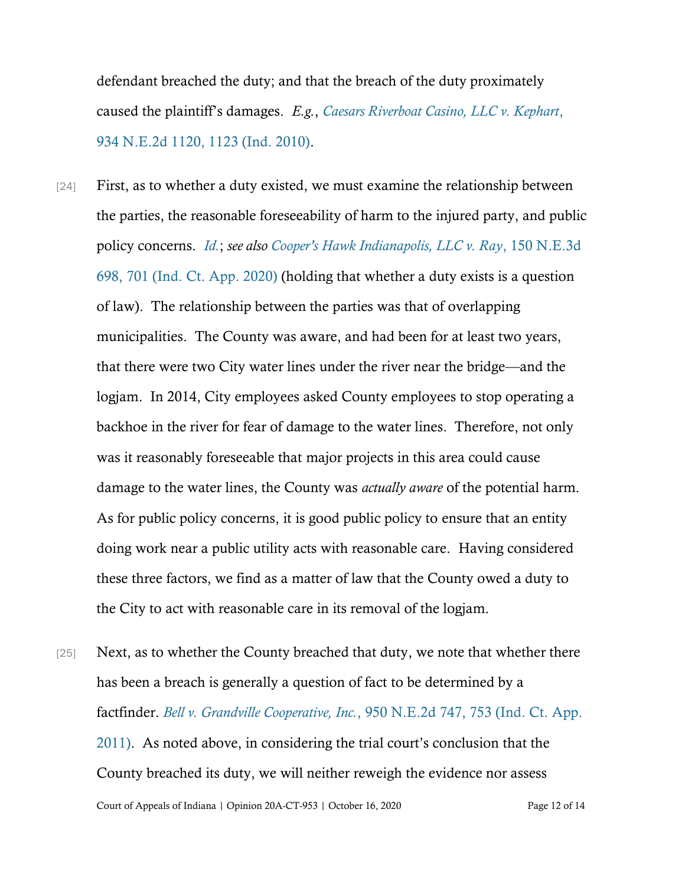defendant breached the duty; and that the breach of the duty proximately caused the plaintiff's damages. *E.g.*, *[Caesars Riverboat Casino, LLC v. Kephart](https://www.westlaw.com/Document/Ifc625320cdd311df8228ac372eb82649/View/FullText.html?transitionType=Default&contextData=(sc.Default)&VR=3.0&RS=da3.0&fragmentIdentifier=co_pp_sp_578_1123)*, [934 N.E.2d 1120, 1123 \(Ind. 2010\).](https://www.westlaw.com/Document/Ifc625320cdd311df8228ac372eb82649/View/FullText.html?transitionType=Default&contextData=(sc.Default)&VR=3.0&RS=da3.0&fragmentIdentifier=co_pp_sp_578_1123)

- [24] First, as to whether a duty existed, we must examine the relationship between the parties, the reasonable foreseeability of harm to the injured party, and public policy concerns. *[Id.](https://www.westlaw.com/Document/Ifc625320cdd311df8228ac372eb82649/View/FullText.html?transitionType=Default&contextData=(sc.Default)&VR=3.0&RS=da3.0)*; *see also [Cooper's Hawk Indianapolis, LLC v. Ray](https://www.westlaw.com/Document/I615500b0ba4211ea8406df7959f232f7/View/FullText.html?transitionType=Default&contextData=(sc.Default)&VR=3.0&RS=da3.0&fragmentIdentifier=co_pp_sp_7902_701)*, 150 N.E.3d [698, 701 \(Ind. Ct. App. 2020\)](https://www.westlaw.com/Document/I615500b0ba4211ea8406df7959f232f7/View/FullText.html?transitionType=Default&contextData=(sc.Default)&VR=3.0&RS=da3.0&fragmentIdentifier=co_pp_sp_7902_701) (holding that whether a duty exists is a question of law). The relationship between the parties was that of overlapping municipalities. The County was aware, and had been for at least two years, that there were two City water lines under the river near the bridge—and the logjam. In 2014, City employees asked County employees to stop operating a backhoe in the river for fear of damage to the water lines. Therefore, not only was it reasonably foreseeable that major projects in this area could cause damage to the water lines, the County was *actually aware* of the potential harm. As for public policy concerns, it is good public policy to ensure that an entity doing work near a public utility acts with reasonable care. Having considered these three factors, we find as a matter of law that the County owed a duty to the City to act with reasonable care in its removal of the logjam.
- Court of Appeals of Indiana | Opinion 20A-CT-953 | October 16, 2020 Page 12 of 14 [25] Next, as to whether the County breached that duty, we note that whether there has been a breach is generally a question of fact to be determined by a factfinder. *Bell v. Grandville Cooperative, Inc.*[, 950 N.E.2d 747, 753 \(Ind. Ct. App.](https://www.westlaw.com/Document/I9ff8442193bb11e0b63e897ab6fa6920/View/FullText.html?transitionType=Default&contextData=(sc.Default)&VR=3.0&RS=da3.0&fragmentIdentifier=co_pp_sp_578_753)  [2011\).](https://www.westlaw.com/Document/I9ff8442193bb11e0b63e897ab6fa6920/View/FullText.html?transitionType=Default&contextData=(sc.Default)&VR=3.0&RS=da3.0&fragmentIdentifier=co_pp_sp_578_753) As noted above, in considering the trial court's conclusion that the County breached its duty, we will neither reweigh the evidence nor assess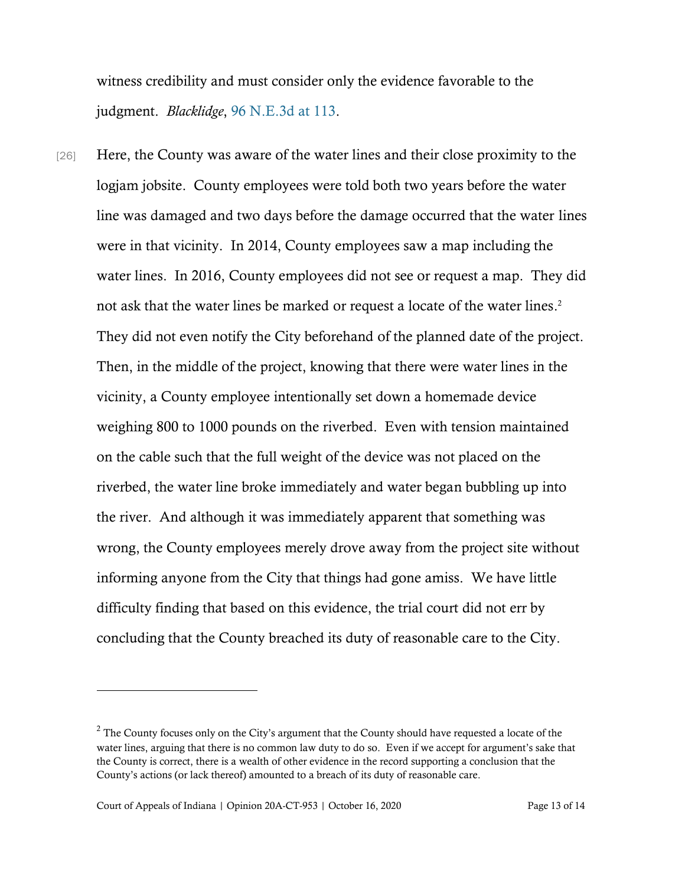witness credibility and must consider only the evidence favorable to the judgment. *Blacklidge*, [96 N.E.3d at 113.](https://www.westlaw.com/Document/Ie9ce9ccad93b11d9a489ee624f1f6e1a/View/FullText.html?transitionType=Default&contextData=(sc.Default)&VR=3.0&RS=da3.0)

[26] Here, the County was aware of the water lines and their close proximity to the logjam jobsite. County employees were told both two years before the water line was damaged and two days before the damage occurred that the water lines were in that vicinity. In 2014, County employees saw a map including the water lines. In 2016, County employees did not see or request a map. They did not ask that the water lines be marked or request a locate of the water lines. 2 They did not even notify the City beforehand of the planned date of the project. Then, in the middle of the project, knowing that there were water lines in the vicinity, a County employee intentionally set down a homemade device weighing 800 to 1000 pounds on the riverbed. Even with tension maintained on the cable such that the full weight of the device was not placed on the riverbed, the water line broke immediately and water began bubbling up into the river. And although it was immediately apparent that something was wrong, the County employees merely drove away from the project site without informing anyone from the City that things had gone amiss. We have little difficulty finding that based on this evidence, the trial court did not err by concluding that the County breached its duty of reasonable care to the City.

 $2^2$  The County focuses only on the City's argument that the County should have requested a locate of the water lines, arguing that there is no common law duty to do so. Even if we accept for argument's sake that the County is correct, there is a wealth of other evidence in the record supporting a conclusion that the County's actions (or lack thereof) amounted to a breach of its duty of reasonable care.